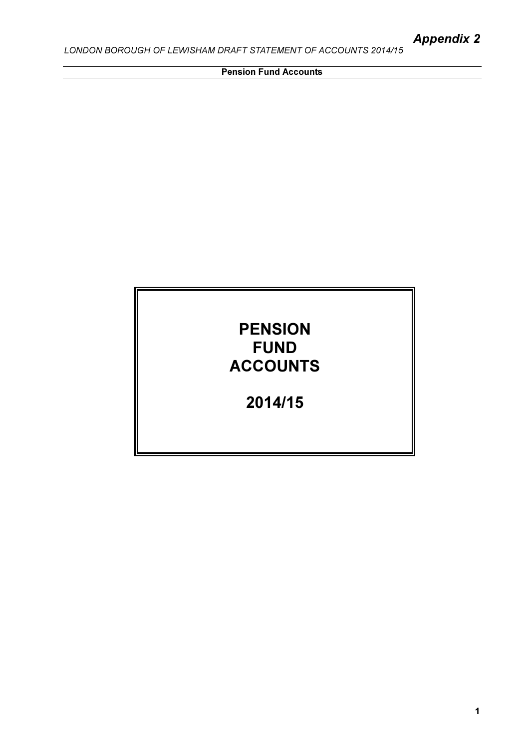ī

Pension Fund Accounts

# PENSION FUND ACCOUNTS

2014/15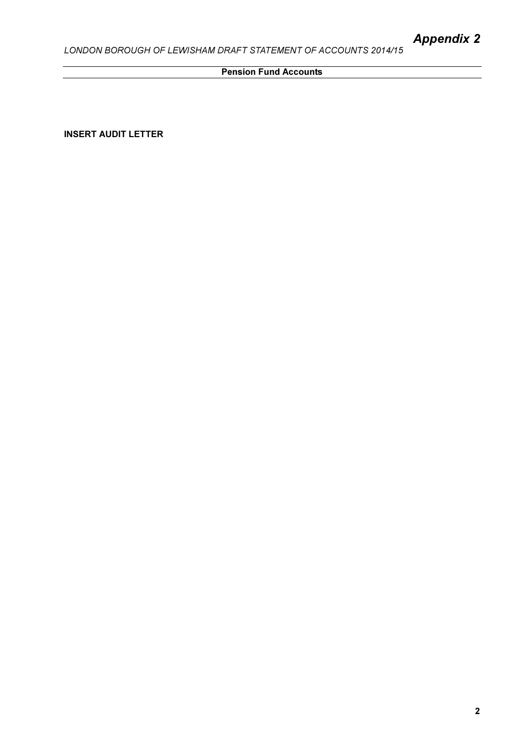## **Pension Fund Accounts Pension Fund Accounts**

INSERT AUDIT LETTER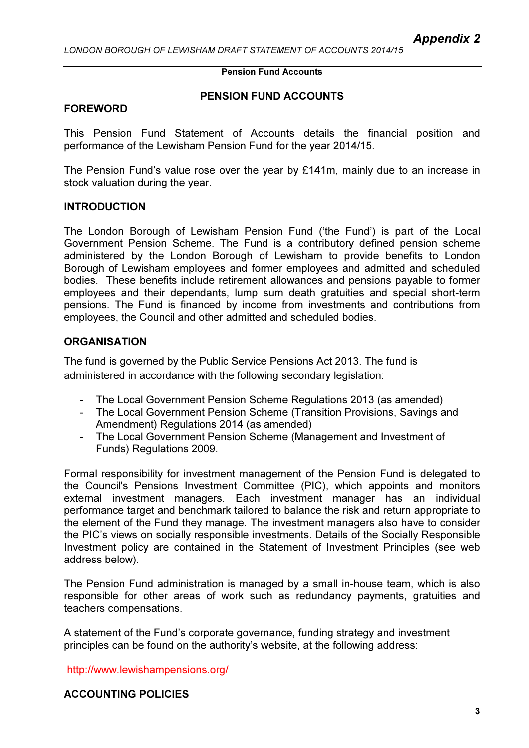#### Pension Fund Accounts

#### PENSION FUND ACCOUNTS

#### FOREWORD

This Pension Fund Statement of Accounts details the financial position and performance of the Lewisham Pension Fund for the year 2014/15.

The Pension Fund's value rose over the year by £141m, mainly due to an increase in stock valuation during the year.

#### INTRODUCTION

The London Borough of Lewisham Pension Fund ('the Fund') is part of the Local Government Pension Scheme. The Fund is a contributory defined pension scheme administered by the London Borough of Lewisham to provide benefits to London Borough of Lewisham employees and former employees and admitted and scheduled bodies. These benefits include retirement allowances and pensions payable to former employees and their dependants, lump sum death gratuities and special short-term pensions. The Fund is financed by income from investments and contributions from employees, the Council and other admitted and scheduled bodies.

## **ORGANISATION**

The fund is governed by the Public Service Pensions Act 2013. The fund is administered in accordance with the following secondary legislation:

- The Local Government Pension Scheme Regulations 2013 (as amended)
- The Local Government Pension Scheme (Transition Provisions, Savings and Amendment) Regulations 2014 (as amended)
- The Local Government Pension Scheme (Management and Investment of Funds) Regulations 2009.

Formal responsibility for investment management of the Pension Fund is delegated to the Council's Pensions Investment Committee (PIC), which appoints and monitors external investment managers. Each investment manager has an individual performance target and benchmark tailored to balance the risk and return appropriate to the element of the Fund they manage. The investment managers also have to consider the PIC's views on socially responsible investments. Details of the Socially Responsible Investment policy are contained in the Statement of Investment Principles (see web address below).

The Pension Fund administration is managed by a small in-house team, which is also responsible for other areas of work such as redundancy payments, gratuities and teachers compensations.

A statement of the Fund's corporate governance, funding strategy and investment principles can be found on the authority's website, at the following address:

http://www.lewishampensions.org/

ACCOUNTING POLICIES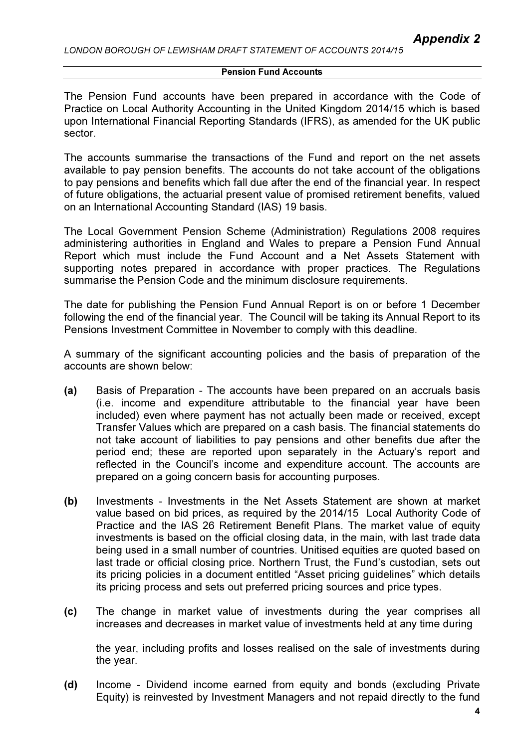The Pension Fund accounts have been prepared in accordance with the Code of Practice on Local Authority Accounting in the United Kingdom 2014/15 which is based upon International Financial Reporting Standards (IFRS), as amended for the UK public sector.

The accounts summarise the transactions of the Fund and report on the net assets available to pay pension benefits. The accounts do not take account of the obligations to pay pensions and benefits which fall due after the end of the financial year. In respect of future obligations, the actuarial present value of promised retirement benefits, valued on an International Accounting Standard (IAS) 19 basis.

The Local Government Pension Scheme (Administration) Regulations 2008 requires administering authorities in England and Wales to prepare a Pension Fund Annual Report which must include the Fund Account and a Net Assets Statement with supporting notes prepared in accordance with proper practices. The Regulations summarise the Pension Code and the minimum disclosure requirements.

The date for publishing the Pension Fund Annual Report is on or before 1 December following the end of the financial year. The Council will be taking its Annual Report to its Pensions Investment Committee in November to comply with this deadline.

A summary of the significant accounting policies and the basis of preparation of the accounts are shown below:

- (a) Basis of Preparation The accounts have been prepared on an accruals basis (i.e. income and expenditure attributable to the financial year have been included) even where payment has not actually been made or received, except Transfer Values which are prepared on a cash basis. The financial statements do not take account of liabilities to pay pensions and other benefits due after the period end; these are reported upon separately in the Actuary's report and reflected in the Council's income and expenditure account. The accounts are prepared on a going concern basis for accounting purposes.
- (b) Investments Investments in the Net Assets Statement are shown at market value based on bid prices, as required by the 2014/15 Local Authority Code of Practice and the IAS 26 Retirement Benefit Plans. The market value of equity investments is based on the official closing data, in the main, with last trade data being used in a small number of countries. Unitised equities are quoted based on last trade or official closing price. Northern Trust, the Fund's custodian, sets out its pricing policies in a document entitled "Asset pricing guidelines" which details its pricing process and sets out preferred pricing sources and price types.
- (c) The change in market value of investments during the year comprises all increases and decreases in market value of investments held at any time during

the year, including profits and losses realised on the sale of investments during the year.

(d) Income - Dividend income earned from equity and bonds (excluding Private Equity) is reinvested by Investment Managers and not repaid directly to the fund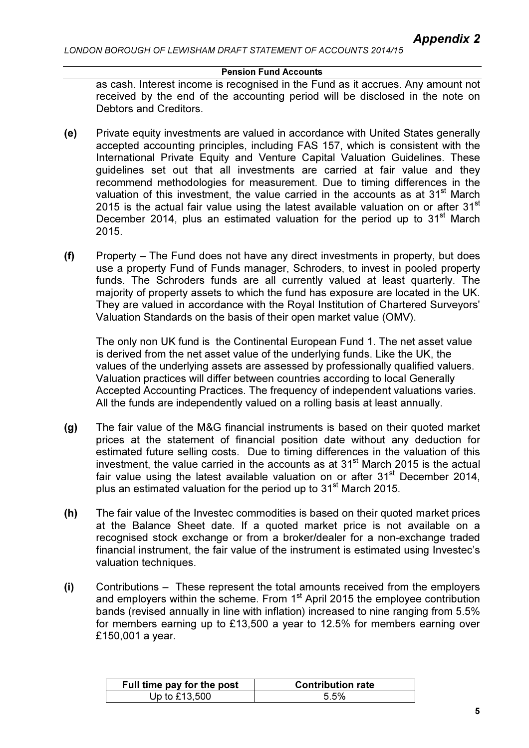#### Pension Fund Accounts

as cash. Interest income is recognised in the Fund as it accrues. Any amount not received by the end of the accounting period will be disclosed in the note on Debtors and Creditors.

- (e) Private equity investments are valued in accordance with United States generally accepted accounting principles, including FAS 157, which is consistent with the International Private Equity and Venture Capital Valuation Guidelines. These guidelines set out that all investments are carried at fair value and they recommend methodologies for measurement. Due to timing differences in the valuation of this investment, the value carried in the accounts as at  $31<sup>st</sup>$  March 2015 is the actual fair value using the latest available valuation on or after  $31<sup>st</sup>$ December 2014, plus an estimated valuation for the period up to  $31<sup>st</sup>$  March 2015.
- (f) Property The Fund does not have any direct investments in property, but does use a property Fund of Funds manager, Schroders, to invest in pooled property funds. The Schroders funds are all currently valued at least quarterly. The majority of property assets to which the fund has exposure are located in the UK. They are valued in accordance with the Royal Institution of Chartered Surveyors' Valuation Standards on the basis of their open market value (OMV).

The only non UK fund is the Continental European Fund 1. The net asset value is derived from the net asset value of the underlying funds. Like the UK, the values of the underlying assets are assessed by professionally qualified valuers. Valuation practices will differ between countries according to local Generally Accepted Accounting Practices. The frequency of independent valuations varies. All the funds are independently valued on a rolling basis at least annually.

- (g) The fair value of the M&G financial instruments is based on their quoted market prices at the statement of financial position date without any deduction for estimated future selling costs. Due to timing differences in the valuation of this investment, the value carried in the accounts as at  $31<sup>st</sup>$  March 2015 is the actual fair value using the latest available valuation on or after  $31<sup>st</sup>$  December 2014, plus an estimated valuation for the period up to 31<sup>st</sup> March 2015.
- (h) The fair value of the Investec commodities is based on their quoted market prices at the Balance Sheet date. If a quoted market price is not available on a recognised stock exchange or from a broker/dealer for a non-exchange traded financial instrument, the fair value of the instrument is estimated using Investec's valuation techniques.
- (i) Contributions These represent the total amounts received from the employers and employers within the scheme. From  $1<sup>st</sup>$  April 2015 the employee contribution bands (revised annually in line with inflation) increased to nine ranging from 5.5% for members earning up to £13,500 a year to 12.5% for members earning over £150,001 a year.

| Full time pay for the post | <b>Contribution rate</b> |
|----------------------------|--------------------------|
| Up to £13,500              | 5 5%                     |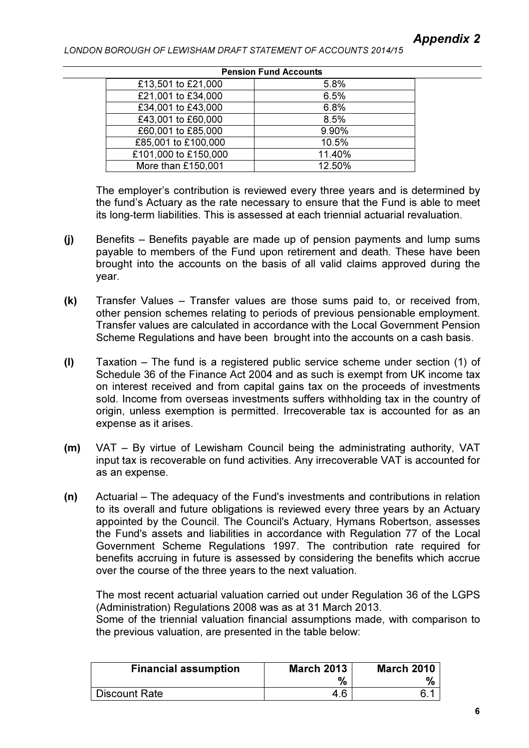| <b>Pension Fund Accounts</b> |  |  |
|------------------------------|--|--|
| 5.8%                         |  |  |
| 6.5%                         |  |  |
| 6.8%                         |  |  |
| 8.5%                         |  |  |
| 9.90%                        |  |  |
| 10.5%                        |  |  |
| 11.40%                       |  |  |
| 12.50%                       |  |  |
|                              |  |  |

The employer's contribution is reviewed every three years and is determined by the fund's Actuary as the rate necessary to ensure that the Fund is able to meet its long-term liabilities. This is assessed at each triennial actuarial revaluation.

- (j) Benefits Benefits payable are made up of pension payments and lump sums payable to members of the Fund upon retirement and death. These have been brought into the accounts on the basis of all valid claims approved during the year.
- (k) Transfer Values Transfer values are those sums paid to, or received from, other pension schemes relating to periods of previous pensionable employment. Transfer values are calculated in accordance with the Local Government Pension Scheme Regulations and have been brought into the accounts on a cash basis.
- (l) Taxation The fund is a registered public service scheme under section (1) of Schedule 36 of the Finance Act 2004 and as such is exempt from UK income tax on interest received and from capital gains tax on the proceeds of investments sold. Income from overseas investments suffers withholding tax in the country of origin, unless exemption is permitted. Irrecoverable tax is accounted for as an expense as it arises.
- (m) VAT By virtue of Lewisham Council being the administrating authority, VAT input tax is recoverable on fund activities. Any irrecoverable VAT is accounted for as an expense.
- (n) Actuarial The adequacy of the Fund's investments and contributions in relation to its overall and future obligations is reviewed every three years by an Actuary appointed by the Council. The Council's Actuary, Hymans Robertson, assesses the Fund's assets and liabilities in accordance with Regulation 77 of the Local Government Scheme Regulations 1997. The contribution rate required for benefits accruing in future is assessed by considering the benefits which accrue over the course of the three years to the next valuation.

The most recent actuarial valuation carried out under Regulation 36 of the LGPS (Administration) Regulations 2008 was as at 31 March 2013.

Some of the triennial valuation financial assumptions made, with comparison to the previous valuation, are presented in the table below:

| <b>Financial assumption</b> | <b>March 2013</b><br>% | <b>March 2010</b> |
|-----------------------------|------------------------|-------------------|
| Discount Rate               | 4.6                    |                   |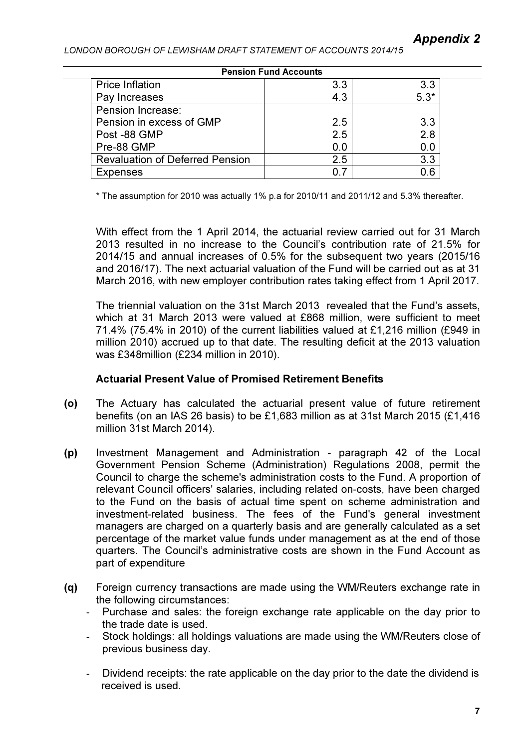| <b>Pension Fund Accounts</b>           |     |        |  |  |
|----------------------------------------|-----|--------|--|--|
| <b>Price Inflation</b>                 | 3.3 | 3.3    |  |  |
| Pay Increases                          | 4.3 | $5.3*$ |  |  |
| Pension Increase:                      |     |        |  |  |
| Pension in excess of GMP               | 2.5 | 3.3    |  |  |
| Post -88 GMP                           | 2.5 | 2.8    |  |  |
| Pre-88 GMP                             | 0.0 | 0.0    |  |  |
| <b>Revaluation of Deferred Pension</b> | 2.5 | 3.3    |  |  |
| <b>Expenses</b>                        |     | 0.6    |  |  |

\* The assumption for 2010 was actually 1% p.a for 2010/11 and 2011/12 and 5.3% thereafter.

With effect from the 1 April 2014, the actuarial review carried out for 31 March 2013 resulted in no increase to the Council's contribution rate of 21.5% for 2014/15 and annual increases of 0.5% for the subsequent two years (2015/16 and 2016/17). The next actuarial valuation of the Fund will be carried out as at 31 March 2016, with new employer contribution rates taking effect from 1 April 2017.

The triennial valuation on the 31st March 2013 revealed that the Fund's assets, which at 31 March 2013 were valued at £868 million, were sufficient to meet 71.4% (75.4% in 2010) of the current liabilities valued at £1,216 million (£949 in million 2010) accrued up to that date. The resulting deficit at the 2013 valuation was £348million (£234 million in 2010).

## Actuarial Present Value of Promised Retirement Benefits

- (o) The Actuary has calculated the actuarial present value of future retirement benefits (on an IAS 26 basis) to be £1,683 million as at 31st March 2015 (£1,416 million 31st March 2014).
- (p) Investment Management and Administration paragraph 42 of the Local Government Pension Scheme (Administration) Regulations 2008, permit the Council to charge the scheme's administration costs to the Fund. A proportion of relevant Council officers' salaries, including related on-costs, have been charged to the Fund on the basis of actual time spent on scheme administration and investment-related business. The fees of the Fund's general investment managers are charged on a quarterly basis and are generally calculated as a set percentage of the market value funds under management as at the end of those quarters. The Council's administrative costs are shown in the Fund Account as part of expenditure
- (q) Foreign currency transactions are made using the WM/Reuters exchange rate in the following circumstances:
	- Purchase and sales: the foreign exchange rate applicable on the day prior to the trade date is used.
	- Stock holdings: all holdings valuations are made using the WM/Reuters close of previous business day.
	- Dividend receipts: the rate applicable on the day prior to the date the dividend is received is used.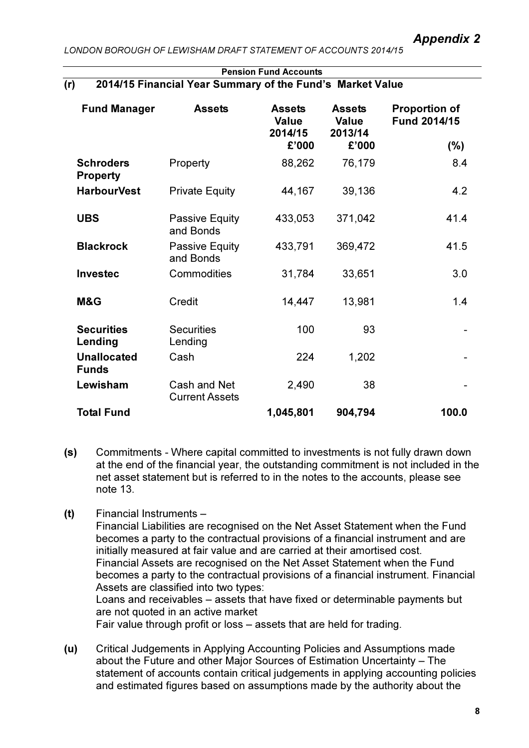|     | <b>FUISION FUILLACCOUNS</b>                               |  |
|-----|-----------------------------------------------------------|--|
| (r) | 2014/15 Financial Year Summary of the Fund's Market Value |  |

Pension Fund Accounts

| <b>Fund Manager</b>                 | <b>Assets</b>                         | <b>Assets</b><br><b>Value</b><br>2014/15 | <b>Assets</b><br><b>Value</b><br>2013/14 | <b>Proportion of</b><br><b>Fund 2014/15</b> |
|-------------------------------------|---------------------------------------|------------------------------------------|------------------------------------------|---------------------------------------------|
|                                     |                                       | £'000                                    | £'000                                    | (%)                                         |
| <b>Schroders</b><br><b>Property</b> | Property                              | 88,262                                   | 76,179                                   | 8.4                                         |
| <b>HarbourVest</b>                  | <b>Private Equity</b>                 | 44,167                                   | 39,136                                   | 4.2                                         |
| <b>UBS</b>                          | Passive Equity<br>and Bonds           | 433,053                                  | 371,042                                  | 41.4                                        |
| <b>Blackrock</b>                    | Passive Equity<br>and Bonds           | 433,791                                  | 369,472                                  | 41.5                                        |
| <b>Investec</b>                     | Commodities                           | 31,784                                   | 33,651                                   | 3.0                                         |
| M&G                                 | Credit                                | 14,447                                   | 13,981                                   | 1.4                                         |
| <b>Securities</b><br>Lending        | <b>Securities</b><br>Lending          | 100                                      | 93                                       |                                             |
| <b>Unallocated</b><br><b>Funds</b>  | Cash                                  | 224                                      | 1,202                                    |                                             |
| Lewisham                            | Cash and Net<br><b>Current Assets</b> | 2,490                                    | 38                                       |                                             |
| <b>Total Fund</b>                   |                                       | 1,045,801                                | 904,794                                  | 100.0                                       |

- (s) Commitments Where capital committed to investments is not fully drawn down at the end of the financial year, the outstanding commitment is not included in the net asset statement but is referred to in the notes to the accounts, please see note 13.
- (t) Financial Instruments –

Financial Liabilities are recognised on the Net Asset Statement when the Fund becomes a party to the contractual provisions of a financial instrument and are initially measured at fair value and are carried at their amortised cost. Financial Assets are recognised on the Net Asset Statement when the Fund becomes a party to the contractual provisions of a financial instrument. Financial Assets are classified into two types: Loans and receivables – assets that have fixed or determinable payments but are not quoted in an active market Fair value through profit or loss – assets that are held for trading.

(u) Critical Judgements in Applying Accounting Policies and Assumptions made about the Future and other Major Sources of Estimation Uncertainty – The statement of accounts contain critical judgements in applying accounting policies and estimated figures based on assumptions made by the authority about the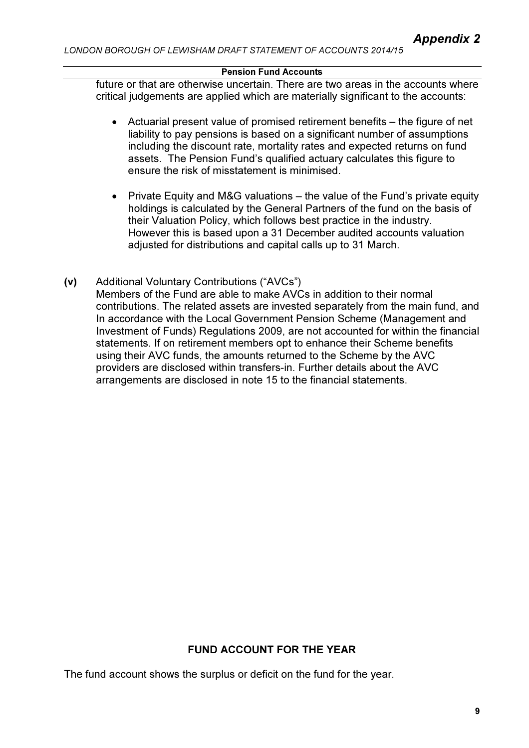future or that are otherwise uncertain. There are two areas in the accounts where critical judgements are applied which are materially significant to the accounts:

- Actuarial present value of promised retirement benefits the figure of net liability to pay pensions is based on a significant number of assumptions including the discount rate, mortality rates and expected returns on fund assets. The Pension Fund's qualified actuary calculates this figure to ensure the risk of misstatement is minimised.
- Private Equity and M&G valuations the value of the Fund's private equity holdings is calculated by the General Partners of the fund on the basis of their Valuation Policy, which follows best practice in the industry. However this is based upon a 31 December audited accounts valuation adjusted for distributions and capital calls up to 31 March.
- (v) Additional Voluntary Contributions ("AVCs") Members of the Fund are able to make AVCs in addition to their normal contributions. The related assets are invested separately from the main fund, and In accordance with the Local Government Pension Scheme (Management and Investment of Funds) Regulations 2009, are not accounted for within the financial statements. If on retirement members opt to enhance their Scheme benefits using their AVC funds, the amounts returned to the Scheme by the AVC providers are disclosed within transfers-in. Further details about the AVC arrangements are disclosed in note 15 to the financial statements.

# FUND ACCOUNT FOR THE YEAR

The fund account shows the surplus or deficit on the fund for the year.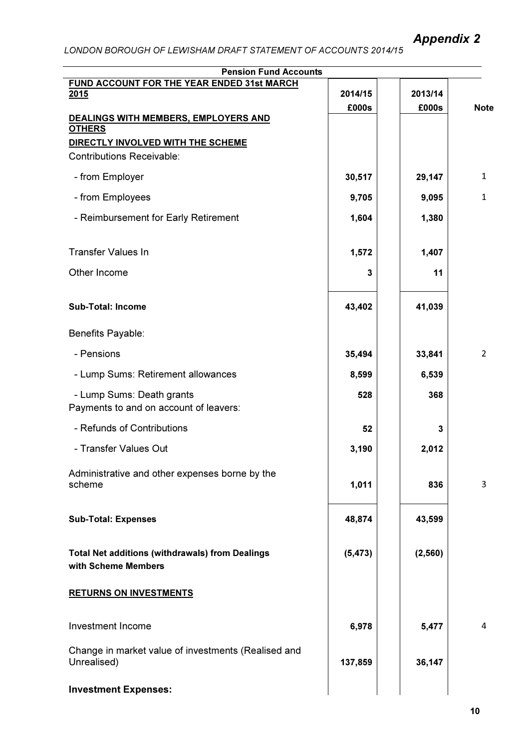| <b>Pension Fund Accounts</b>                                                  |          |          |                |
|-------------------------------------------------------------------------------|----------|----------|----------------|
| FUND ACCOUNT FOR THE YEAR ENDED 31st MARCH<br>2015                            | 2014/15  | 2013/14  |                |
|                                                                               | £000s    | £000s    | <b>Note</b>    |
| DEALINGS WITH MEMBERS, EMPLOYERS AND<br><b>OTHERS</b>                         |          |          |                |
| DIRECTLY INVOLVED WITH THE SCHEME                                             |          |          |                |
| <b>Contributions Receivable:</b>                                              |          |          |                |
| - from Employer                                                               | 30,517   | 29,147   | 1              |
| - from Employees                                                              | 9,705    | 9,095    | 1              |
| - Reimbursement for Early Retirement                                          | 1,604    | 1,380    |                |
| <b>Transfer Values In</b>                                                     | 1,572    | 1,407    |                |
| Other Income                                                                  | 3        | 11       |                |
| <b>Sub-Total: Income</b>                                                      | 43,402   | 41,039   |                |
| Benefits Payable:                                                             |          |          |                |
| - Pensions                                                                    | 35,494   | 33,841   | $\overline{2}$ |
| - Lump Sums: Retirement allowances                                            | 8,599    | 6,539    |                |
| - Lump Sums: Death grants<br>Payments to and on account of leavers:           | 528      | 368      |                |
| - Refunds of Contributions                                                    | 52       | 3        |                |
| - Transfer Values Out                                                         | 3,190    | 2,012    |                |
| Administrative and other expenses borne by the<br>scheme                      | 1,011    | 836      | 3              |
| <b>Sub-Total: Expenses</b>                                                    | 48,874   | 43,599   |                |
| <b>Total Net additions (withdrawals) from Dealings</b><br>with Scheme Members | (5, 473) | (2, 560) |                |
| <b>RETURNS ON INVESTMENTS</b>                                                 |          |          |                |
| <b>Investment Income</b>                                                      | 6,978    | 5,477    | 4              |
| Change in market value of investments (Realised and<br>Unrealised)            | 137,859  | 36,147   |                |
| <b>Investment Expenses:</b>                                                   |          |          |                |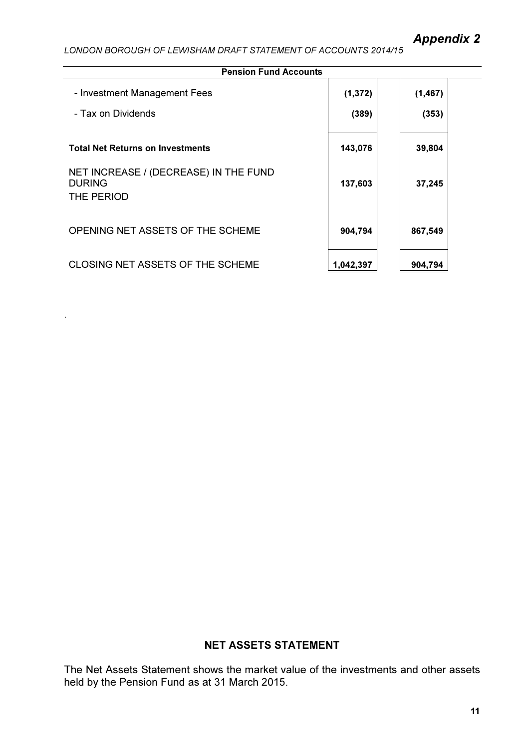.

| <b>Pension Fund Accounts</b>                                         |           |          |  |
|----------------------------------------------------------------------|-----------|----------|--|
| - Investment Management Fees                                         | (1, 372)  | (1, 467) |  |
| - Tax on Dividends                                                   | (389)     | (353)    |  |
| <b>Total Net Returns on Investments</b>                              | 143,076   | 39,804   |  |
| NET INCREASE / (DECREASE) IN THE FUND<br><b>DURING</b><br>THE PERIOD | 137,603   | 37,245   |  |
| OPENING NET ASSETS OF THE SCHEME                                     | 904,794   | 867,549  |  |
| <b>CLOSING NET ASSETS OF THE SCHEME</b>                              | 1,042,397 | 904,794  |  |

# NET ASSETS STATEMENT

The Net Assets Statement shows the market value of the investments and other assets held by the Pension Fund as at 31 March 2015.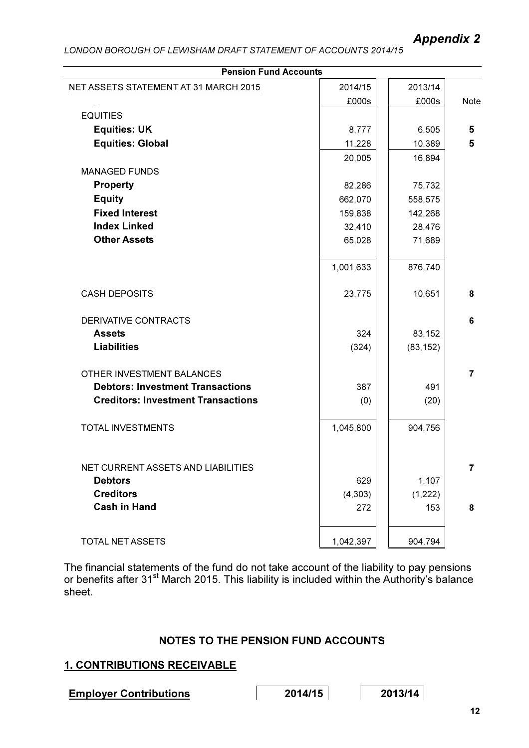| <b>Pension Fund Accounts</b>              |           |           |                |  |
|-------------------------------------------|-----------|-----------|----------------|--|
| NET ASSETS STATEMENT AT 31 MARCH 2015     | 2014/15   | 2013/14   |                |  |
|                                           | £000s     | £000s     | <b>Note</b>    |  |
| <b>EQUITIES</b>                           |           |           |                |  |
| <b>Equities: UK</b>                       | 8,777     | 6,505     | 5              |  |
| <b>Equities: Global</b>                   | 11,228    | 10,389    | 5              |  |
|                                           | 20,005    | 16,894    |                |  |
| <b>MANAGED FUNDS</b>                      |           |           |                |  |
| <b>Property</b>                           | 82,286    | 75,732    |                |  |
| <b>Equity</b>                             | 662,070   | 558,575   |                |  |
| <b>Fixed Interest</b>                     | 159,838   | 142,268   |                |  |
| <b>Index Linked</b>                       | 32,410    | 28,476    |                |  |
| <b>Other Assets</b>                       | 65,028    | 71,689    |                |  |
|                                           |           |           |                |  |
|                                           | 1,001,633 | 876,740   |                |  |
|                                           |           |           |                |  |
| <b>CASH DEPOSITS</b>                      | 23,775    | 10,651    | 8              |  |
| <b>DERIVATIVE CONTRACTS</b>               |           |           | 6              |  |
| <b>Assets</b>                             | 324       | 83,152    |                |  |
| <b>Liabilities</b>                        | (324)     | (83, 152) |                |  |
|                                           |           |           |                |  |
| OTHER INVESTMENT BALANCES                 |           |           | $\overline{7}$ |  |
| <b>Debtors: Investment Transactions</b>   | 387       | 491       |                |  |
| <b>Creditors: Investment Transactions</b> | (0)       | (20)      |                |  |
|                                           |           |           |                |  |
| <b>TOTAL INVESTMENTS</b>                  | 1,045,800 | 904,756   |                |  |
|                                           |           |           |                |  |
|                                           |           |           |                |  |
| NET CURRENT ASSETS AND LIABILITIES        |           |           | 7              |  |
| <b>Debtors</b>                            | 629       | 1,107     |                |  |
| <b>Creditors</b>                          | (4, 303)  | (1,222)   |                |  |
| <b>Cash in Hand</b>                       | 272       | 153       | 8              |  |
|                                           |           |           |                |  |
| TOTAL NET ASSETS                          | 1,042,397 | 904,794   |                |  |

The financial statements of the fund do not take account of the liability to pay pensions or benefits after 31<sup>st</sup> March 2015. This liability is included within the Authority's balance sheet.

# NOTES TO THE PENSION FUND ACCOUNTS

## 1. CONTRIBUTIONS RECEIVABLE

Employer Contributions 2014/15 2013/14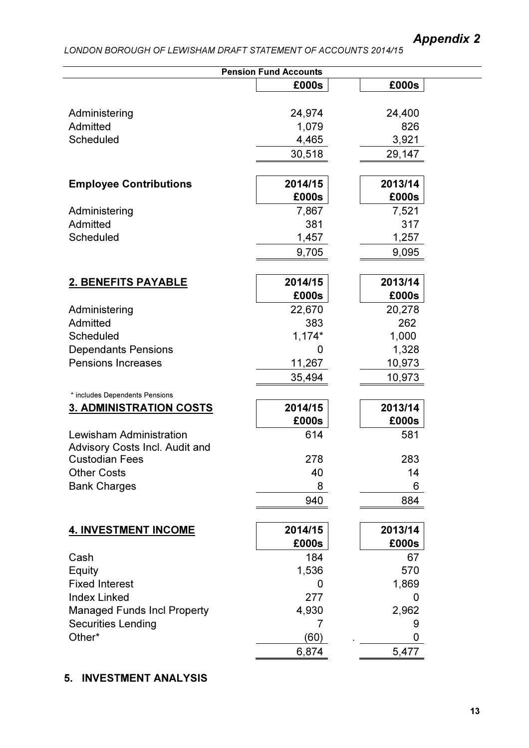# Appendix 2

# LONDON BOROUGH OF LEWISHAM DRAFT STATEMENT OF ACCOUNTS 2014/15

|                                | <b>Pension Fund Accounts</b> |         |
|--------------------------------|------------------------------|---------|
|                                | £000s                        | £000s   |
|                                |                              |         |
| Administering                  | 24,974                       | 24,400  |
| Admitted                       | 1,079                        | 826     |
| Scheduled                      | 4,465                        | 3,921   |
|                                | 30,518                       | 29,147  |
|                                |                              |         |
| <b>Employee Contributions</b>  | 2014/15                      | 2013/14 |
|                                | £000s                        | £000s   |
| Administering                  | 7,867                        | 7,521   |
| Admitted                       | 381                          | 317     |
| Scheduled                      | 1,457                        | 1,257   |
|                                | 9,705                        | 9,095   |
|                                |                              |         |
| 2. BENEFITS PAYABLE            | 2014/15                      | 2013/14 |
|                                | £000s                        | £000s   |
| Administering                  | 22,670                       | 20,278  |
| Admitted                       | 383                          | 262     |
| Scheduled                      | $1,174*$                     | 1,000   |
| <b>Dependants Pensions</b>     | 0                            | 1,328   |
| <b>Pensions Increases</b>      | 11,267                       | 10,973  |
|                                | 35,494                       | 10,973  |
| * includes Dependents Pensions |                              |         |
| <b>3. ADMINISTRATION COSTS</b> | 2014/15                      | 2013/14 |
|                                | £000s                        | £000s   |
| Lewisham Administration        | 614                          | 581     |
| Advisory Costs Incl. Audit and |                              |         |
| <b>Custodian Fees</b>          | 278                          | 283     |
| <b>Other Costs</b>             | 40                           | 14      |
| <b>Bank Charges</b>            | 8                            | 6       |
|                                | 940                          | 884     |
|                                |                              |         |
| <b>4. INVESTMENT INCOME</b>    | 2014/15                      | 2013/14 |
|                                | £000s                        | £000s   |
| Cash                           | 184                          | 67      |
| Equity                         | 1,536                        | 570     |
| <b>Fixed Interest</b>          | 0                            | 1,869   |
| <b>Index Linked</b>            | 277                          | 0       |
| Managed Funds Incl Property    | 4,930                        | 2,962   |
| <b>Securities Lending</b>      | 7                            | 9       |
| Other*                         | (60)                         | 0       |
|                                | 6,874                        | 5,477   |

# 5. INVESTMENT ANALYSIS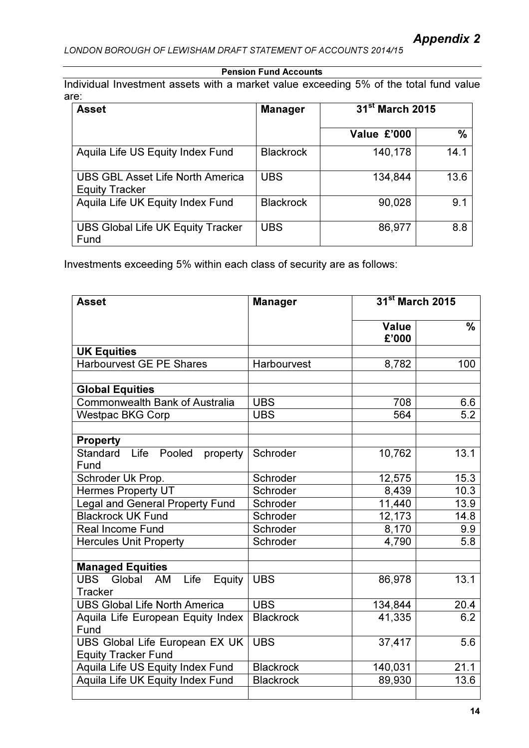Individual Investment assets with a market value exceeding 5% of the total fund value are:

| <b>Asset</b>                                                     | <b>Manager</b>   | 31 <sup>st</sup> March 2015 |               |
|------------------------------------------------------------------|------------------|-----------------------------|---------------|
|                                                                  |                  | Value £'000                 | $\frac{0}{0}$ |
| Aquila Life US Equity Index Fund                                 | <b>Blackrock</b> | 140,178                     | 14.1          |
| <b>UBS GBL Asset Life North America</b><br><b>Equity Tracker</b> | <b>UBS</b>       | 134,844                     | 13.6          |
| Aquila Life UK Equity Index Fund                                 | <b>Blackrock</b> | 90,028                      | 9.1           |
| <b>UBS Global Life UK Equity Tracker</b><br>Fund                 | <b>UBS</b>       | 86,977                      | 8.8           |

Investments exceeding 5% within each class of security are as follows:

| <b>Asset</b>                           | <b>Manager</b>   | 31 <sup>st</sup> March 2015 |               |
|----------------------------------------|------------------|-----------------------------|---------------|
|                                        |                  | <b>Value</b><br>£'000       | $\frac{0}{0}$ |
| <b>UK Equities</b>                     |                  |                             |               |
| <b>Harbourvest GE PE Shares</b>        | Harbourvest      | 8,782                       | 100           |
|                                        |                  |                             |               |
| <b>Global Equities</b>                 |                  |                             |               |
| <b>Commonwealth Bank of Australia</b>  | <b>UBS</b>       | 708                         | 6.6           |
| <b>Westpac BKG Corp</b>                | <b>UBS</b>       | 564                         | 5.2           |
|                                        |                  |                             |               |
| <b>Property</b>                        |                  |                             |               |
| Life Pooled<br>Standard<br>property    | Schroder         | 10,762                      | 13.1          |
| Fund                                   |                  |                             |               |
| Schroder Uk Prop.                      | Schroder         | 12,575                      | 15.3          |
| <b>Hermes Property UT</b>              | Schroder         | 8,439                       | 10.3          |
| <b>Legal and General Property Fund</b> | Schroder         | 11,440                      | 13.9          |
| <b>Blackrock UK Fund</b>               | Schroder         | 12,173                      | 14.8          |
| <b>Real Income Fund</b>                | Schroder         | 8,170                       | 9.9           |
| <b>Hercules Unit Property</b>          | Schroder         | 4,790                       | 5.8           |
|                                        |                  |                             |               |
| <b>Managed Equities</b>                |                  |                             |               |
| Life<br>UBS<br>Global<br>AM<br>Equity  | <b>UBS</b>       | 86,978                      | 13.1          |
| <b>Tracker</b>                         |                  |                             |               |
| <b>UBS Global Life North America</b>   | <b>UBS</b>       | 134,844                     | 20.4          |
| Aquila Life European Equity Index      | <b>Blackrock</b> | 41,335                      | 6.2           |
| Fund                                   |                  |                             |               |
| UBS Global Life European EX UK         | <b>UBS</b>       | 37,417                      | 5.6           |
| <b>Equity Tracker Fund</b>             |                  |                             |               |
| Aquila Life US Equity Index Fund       | <b>Blackrock</b> | 140,031                     | 21.1          |
| Aquila Life UK Equity Index Fund       | <b>Blackrock</b> | 89,930                      | 13.6          |
|                                        |                  |                             |               |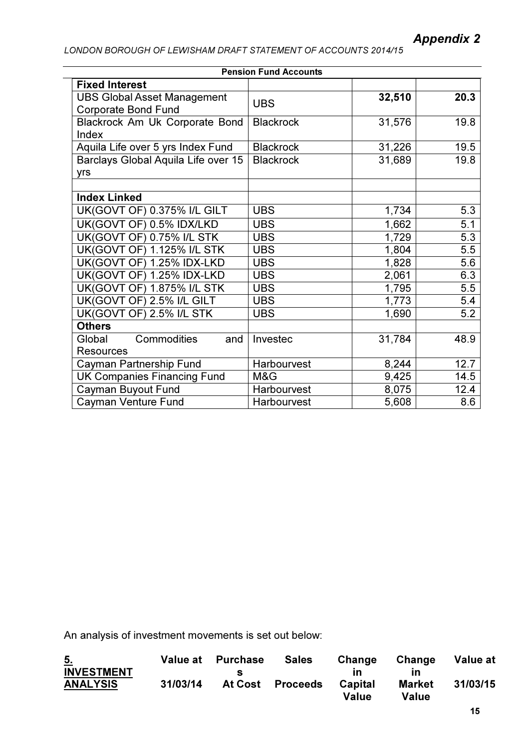| <b>Pension Fund Accounts</b>                                     |                  |        |      |  |  |
|------------------------------------------------------------------|------------------|--------|------|--|--|
| <b>Fixed Interest</b>                                            |                  |        |      |  |  |
| <b>UBS Global Asset Management</b><br><b>Corporate Bond Fund</b> | <b>UBS</b>       | 32,510 | 20.3 |  |  |
| Blackrock Am Uk Corporate Bond<br>Index                          | <b>Blackrock</b> | 31,576 | 19.8 |  |  |
| Aquila Life over 5 yrs Index Fund                                | <b>Blackrock</b> | 31,226 | 19.5 |  |  |
| Barclays Global Aquila Life over 15<br>yrs                       | <b>Blackrock</b> | 31,689 | 19.8 |  |  |
|                                                                  |                  |        |      |  |  |
| <b>Index Linked</b>                                              |                  |        |      |  |  |
| UK(GOVT OF) 0.375% I/L GILT                                      | <b>UBS</b>       | 1,734  | 5.3  |  |  |
| UK(GOVT OF) 0.5% IDX/LKD                                         | <b>UBS</b>       | 1,662  | 5.1  |  |  |
| UK(GOVT OF) 0.75% I/L STK                                        | <b>UBS</b>       | 1,729  | 5.3  |  |  |
| <b>UK(GOVT OF) 1.125% I/L STK</b>                                | <b>UBS</b>       | 1,804  | 5.5  |  |  |
| UK(GOVT OF) 1.25% IDX-LKD                                        | <b>UBS</b>       | 1,828  | 5.6  |  |  |
| UK(GOVT OF) 1.25% IDX-LKD                                        | <b>UBS</b>       | 2,061  | 6.3  |  |  |
| <b>UK(GOVT OF) 1.875% I/L STK</b>                                | <b>UBS</b>       | 1,795  | 5.5  |  |  |
| UK(GOVT OF) 2.5% I/L GILT                                        | <b>UBS</b>       | 1,773  | 5.4  |  |  |
| UK(GOVT OF) 2.5% I/L STK                                         | <b>UBS</b>       | 1,690  | 5.2  |  |  |
| <b>Others</b>                                                    |                  |        |      |  |  |
| Commodities<br>Global<br>and                                     | Investec         | 31,784 | 48.9 |  |  |
| <b>Resources</b>                                                 |                  |        |      |  |  |
| Cayman Partnership Fund                                          | Harbourvest      | 8,244  | 12.7 |  |  |
| <b>UK Companies Financing Fund</b>                               | M&G              | 9,425  | 14.5 |  |  |
| Cayman Buyout Fund                                               | Harbourvest      | 8,075  | 12.4 |  |  |
| <b>Cayman Venture Fund</b>                                       | Harbourvest      | 5,608  | 8.6  |  |  |

An analysis of investment movements is set out below:

| $\overline{5}$ .                     |          | Value at Purchase | <b>Sales</b>     | Change  | Change        | Value at |
|--------------------------------------|----------|-------------------|------------------|---------|---------------|----------|
| <b>INVESTMENT</b><br><b>ANALYSIS</b> | 31/03/14 | S                 | At Cost Proceeds | Capital | <b>Market</b> | 31/03/15 |
|                                      |          |                   |                  | Value   | Value         |          |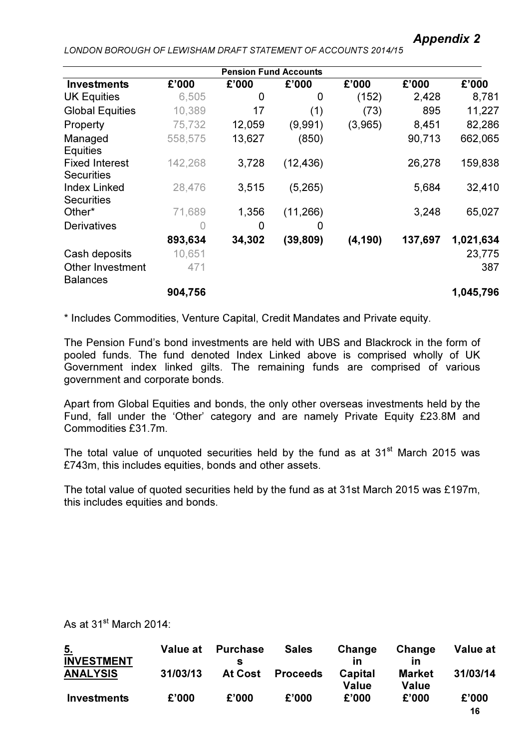|                                            |         | <b>Pension Fund Accounts</b> |           |          |         |           |
|--------------------------------------------|---------|------------------------------|-----------|----------|---------|-----------|
| <b>Investments</b>                         | £'000   | £'000                        | £'000     | £'000    | £'000   | £'000     |
| <b>UK Equities</b>                         | 6,505   | 0                            | 0         | (152)    | 2,428   | 8,781     |
| <b>Global Equities</b>                     | 10,389  | 17                           | (1)       | (73)     | 895     | 11,227    |
| Property                                   | 75,732  | 12,059                       | (9,991)   | (3,965)  | 8,451   | 82,286    |
| Managed                                    | 558,575 | 13,627                       | (850)     |          | 90,713  | 662,065   |
| <b>Equities</b>                            |         |                              |           |          |         |           |
| <b>Fixed Interest</b>                      | 142,268 | 3,728                        | (12, 436) |          | 26,278  | 159,838   |
| <b>Securities</b>                          |         |                              |           |          |         |           |
| <b>Index Linked</b>                        | 28,476  | 3,515                        | (5,265)   |          | 5,684   | 32,410    |
| <b>Securities</b>                          |         |                              |           |          |         |           |
| Other*                                     | 71,689  | 1,356                        | (11, 266) |          | 3,248   | 65,027    |
| <b>Derivatives</b>                         |         | 0                            | O         |          |         |           |
|                                            | 893,634 | 34,302                       | (39, 809) | (4, 190) | 137,697 | 1,021,634 |
| Cash deposits                              | 10,651  |                              |           |          |         | 23,775    |
| <b>Other Investment</b><br><b>Balances</b> | 471     |                              |           |          |         | 387       |
|                                            | 904,756 |                              |           |          |         | 1,045,796 |

\* Includes Commodities, Venture Capital, Credit Mandates and Private equity.

The Pension Fund's bond investments are held with UBS and Blackrock in the form of pooled funds. The fund denoted Index Linked above is comprised wholly of UK Government index linked gilts. The remaining funds are comprised of various government and corporate bonds.

Apart from Global Equities and bonds, the only other overseas investments held by the Fund, fall under the 'Other' category and are namely Private Equity £23.8M and Commodities £31.7m.

The total value of unquoted securities held by the fund as at  $31<sup>st</sup>$  March 2015 was £743m, this includes equities, bonds and other assets.

The total value of quoted securities held by the fund as at 31st March 2015 was £197m, this includes equities and bonds.

As at  $31^{\text{st}}$  March 2014:

| <u>5.</u>          | <b>Value at</b> | <b>Purchase</b> | <b>Sales</b>    | Change                  | Change                        | Value at    |
|--------------------|-----------------|-----------------|-----------------|-------------------------|-------------------------------|-------------|
| <b>INVESTMENT</b>  |                 | S               |                 | ın                      | ın                            |             |
| <b>ANALYSIS</b>    | 31/03/13        | <b>At Cost</b>  | <b>Proceeds</b> | Capital<br><b>Value</b> | <b>Market</b><br><b>Value</b> | 31/03/14    |
| <b>Investments</b> | £'000           | £'000           | £'000           | £'000                   | £'000                         | £'000<br>16 |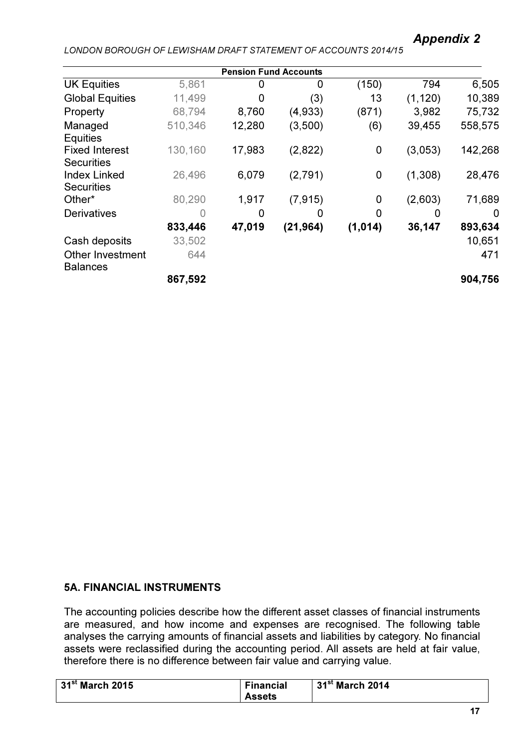|                                            |         | <b>Pension Fund Accounts</b> |           |             |          |         |
|--------------------------------------------|---------|------------------------------|-----------|-------------|----------|---------|
| <b>UK Equities</b>                         | 5,861   | 0                            | 0         | (150)       | 794      | 6,505   |
| <b>Global Equities</b>                     | 11,499  | O                            | (3)       | 13          | (1, 120) | 10,389  |
| Property                                   | 68,794  | 8,760                        | (4,933)   | (871)       | 3,982    | 75,732  |
| Managed                                    | 510,346 | 12,280                       | (3,500)   | (6)         | 39,455   | 558,575 |
| <b>Equities</b>                            |         |                              |           |             |          |         |
| <b>Fixed Interest</b><br><b>Securities</b> | 130,160 | 17,983                       | (2,822)   | $\mathbf 0$ | (3,053)  | 142,268 |
| <b>Index Linked</b>                        | 26,496  | 6,079                        | (2,791)   | $\mathbf 0$ | (1,308)  | 28,476  |
| <b>Securities</b>                          |         |                              |           |             |          |         |
| Other*                                     | 80,290  | 1,917                        | (7, 915)  | 0           | (2,603)  | 71,689  |
| <b>Derivatives</b>                         |         | O                            |           | 0           | 0        | 0       |
|                                            | 833,446 | 47,019                       | (21, 964) | (1, 014)    | 36,147   | 893,634 |
| Cash deposits                              | 33,502  |                              |           |             |          | 10,651  |
| <b>Other Investment</b><br><b>Balances</b> | 644     |                              |           |             |          | 471     |
|                                            | 867,592 |                              |           |             |          | 904,756 |

## 5A. FINANCIAL INSTRUMENTS

The accounting policies describe how the different asset classes of financial instruments are measured, and how income and expenses are recognised. The following table analyses the carrying amounts of financial assets and liabilities by category. No financial assets were reclassified during the accounting period. All assets are held at fair value, therefore there is no difference between fair value and carrying value.

| $31st$ March 2015 | <b>Financial</b> | $31st$ March 2014 |
|-------------------|------------------|-------------------|
|                   | <b>Assets</b>    |                   |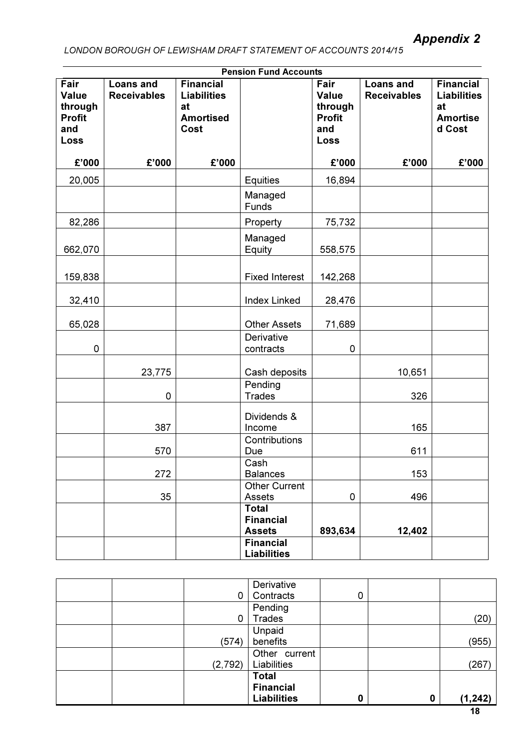| <b>Pension Fund Accounts</b>                             |                                        |                                                                          |                                                   |                                                          |                                        |                                                                           |  |
|----------------------------------------------------------|----------------------------------------|--------------------------------------------------------------------------|---------------------------------------------------|----------------------------------------------------------|----------------------------------------|---------------------------------------------------------------------------|--|
| Fair<br>Value<br>through<br><b>Profit</b><br>and<br>Loss | <b>Loans and</b><br><b>Receivables</b> | <b>Financial</b><br><b>Liabilities</b><br>at<br><b>Amortised</b><br>Cost |                                                   | Fair<br>Value<br>through<br><b>Profit</b><br>and<br>Loss | <b>Loans and</b><br><b>Receivables</b> | <b>Financial</b><br><b>Liabilities</b><br>at<br><b>Amortise</b><br>d Cost |  |
| £'000                                                    | £'000                                  | £'000                                                                    |                                                   | £'000                                                    | £'000                                  | £'000                                                                     |  |
| 20,005                                                   |                                        |                                                                          | <b>Equities</b>                                   | 16,894                                                   |                                        |                                                                           |  |
|                                                          |                                        |                                                                          | Managed<br>Funds                                  |                                                          |                                        |                                                                           |  |
| 82,286                                                   |                                        |                                                                          | Property                                          | 75,732                                                   |                                        |                                                                           |  |
| 662,070                                                  |                                        |                                                                          | Managed<br>Equity                                 | 558,575                                                  |                                        |                                                                           |  |
| 159,838                                                  |                                        |                                                                          | <b>Fixed Interest</b>                             | 142,268                                                  |                                        |                                                                           |  |
| 32,410                                                   |                                        |                                                                          | <b>Index Linked</b>                               | 28,476                                                   |                                        |                                                                           |  |
| 65,028                                                   |                                        |                                                                          | <b>Other Assets</b>                               | 71,689                                                   |                                        |                                                                           |  |
| $\mathsf 0$                                              |                                        |                                                                          | Derivative<br>contracts                           | 0                                                        |                                        |                                                                           |  |
|                                                          | 23,775                                 |                                                                          | Cash deposits                                     |                                                          | 10,651                                 |                                                                           |  |
|                                                          | $\mathsf 0$                            |                                                                          | Pending<br><b>Trades</b>                          |                                                          | 326                                    |                                                                           |  |
|                                                          | 387                                    |                                                                          | Dividends &<br>Income                             |                                                          | 165                                    |                                                                           |  |
|                                                          | 570                                    |                                                                          | Contributions<br>Due                              |                                                          | 611                                    |                                                                           |  |
|                                                          | 272                                    |                                                                          | Cash<br><b>Balances</b>                           |                                                          | 153                                    |                                                                           |  |
|                                                          | 35                                     |                                                                          | <b>Other Current</b><br>Assets                    | 0                                                        | 496                                    |                                                                           |  |
|                                                          |                                        |                                                                          | <b>Total</b><br><b>Financial</b><br><b>Assets</b> | 893,634                                                  | 12,402                                 |                                                                           |  |
|                                                          |                                        |                                                                          | <b>Financial</b><br><b>Liabilities</b>            |                                                          |                                        |                                                                           |  |

|  |          | Derivative         |   |          |          |
|--|----------|--------------------|---|----------|----------|
|  | 0        | Contracts          | 0 |          |          |
|  |          | Pending            |   |          |          |
|  |          | <b>Trades</b>      |   |          | (20)     |
|  |          | Unpaid             |   |          |          |
|  | (574)    | benefits           |   |          | (955)    |
|  |          | Other current      |   |          |          |
|  | (2, 792) | Liabilities        |   |          | (267)    |
|  |          | <b>Total</b>       |   |          |          |
|  |          | <b>Financial</b>   |   |          |          |
|  |          | <b>Liabilities</b> | 0 | $\bf{0}$ | (1, 242) |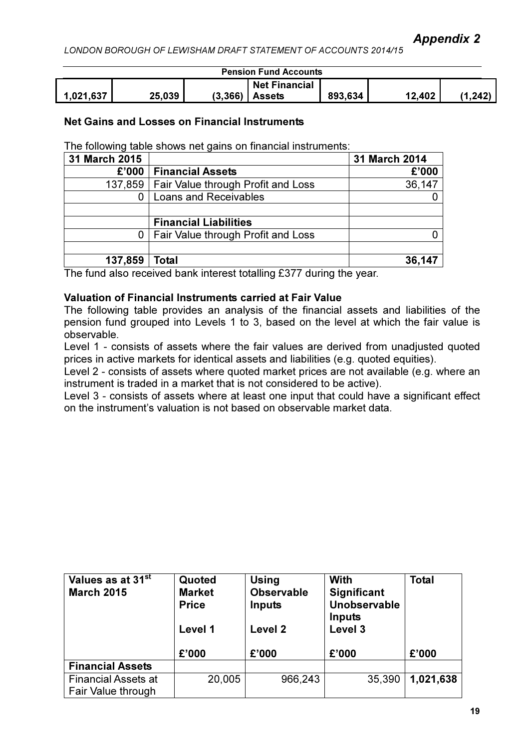# Appendix 2

LONDON BOROUGH OF LEWISHAM DRAFT STATEMENT OF ACCOUNTS 2014/15

| <b>Pension Fund Accounts</b> |        |  |                      |         |        |       |
|------------------------------|--------|--|----------------------|---------|--------|-------|
|                              |        |  | <b>Net Financial</b> |         |        |       |
| 1,021,637                    | 25,039 |  | $(3,366)$ Assets     | 893,634 | 12,402 | .242) |

### Net Gains and Losses on Financial Instruments

The following table shows net gains on financial instruments:

| 31 March 2015 |                                              | 31 March 2014 |
|---------------|----------------------------------------------|---------------|
| £'000         | <b>Financial Assets</b>                      | £'000         |
|               | 137,859   Fair Value through Profit and Loss | 36,147        |
|               | <b>Loans and Receivables</b>                 |               |
|               |                                              |               |
|               | <b>Financial Liabilities</b>                 |               |
| 0             | Fair Value through Profit and Loss           |               |
|               |                                              |               |
| 137,859       | Total                                        | 36,147        |

The fund also received bank interest totalling £377 during the year.

## Valuation of Financial Instruments carried at Fair Value

The following table provides an analysis of the financial assets and liabilities of the pension fund grouped into Levels 1 to 3, based on the level at which the fair value is observable.

Level 1 - consists of assets where the fair values are derived from unadjusted quoted prices in active markets for identical assets and liabilities (e.g. quoted equities).

Level 2 - consists of assets where quoted market prices are not available (e.g. where an instrument is traded in a market that is not considered to be active).

Level 3 - consists of assets where at least one input that could have a significant effect on the instrument's valuation is not based on observable market data.

| Values as at 31 <sup>st</sup><br><b>March 2015</b> | Quoted<br><b>Market</b><br><b>Price</b><br>Level 1 | <b>Using</b><br><b>Observable</b><br>Inputs<br>Level 2 | With<br><b>Significant</b><br>Unobservable<br>Inputs<br>Level 3 | <b>Total</b> |
|----------------------------------------------------|----------------------------------------------------|--------------------------------------------------------|-----------------------------------------------------------------|--------------|
|                                                    | £'000                                              | £'000                                                  | £'000                                                           | £'000        |
| <b>Financial Assets</b>                            |                                                    |                                                        |                                                                 |              |
| <b>Financial Assets at</b>                         | 20,005                                             | 966,243                                                | 35,390                                                          | 1,021,638    |
| Fair Value through                                 |                                                    |                                                        |                                                                 |              |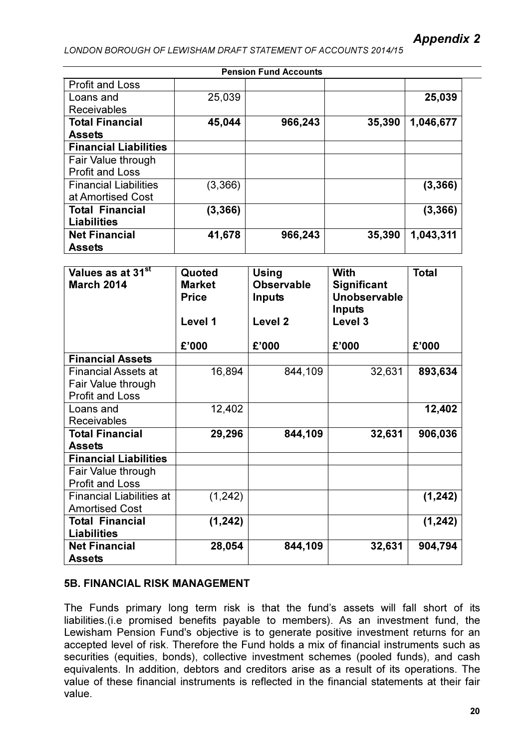|                              |          | <b>Pension Fund Accounts</b> |        |           |
|------------------------------|----------|------------------------------|--------|-----------|
| <b>Profit and Loss</b>       |          |                              |        |           |
| Loans and                    | 25,039   |                              |        | 25,039    |
| <b>Receivables</b>           |          |                              |        |           |
| <b>Total Financial</b>       | 45,044   | 966,243                      | 35,390 | 1,046,677 |
| <b>Assets</b>                |          |                              |        |           |
| <b>Financial Liabilities</b> |          |                              |        |           |
| Fair Value through           |          |                              |        |           |
| <b>Profit and Loss</b>       |          |                              |        |           |
| <b>Financial Liabilities</b> | (3,366)  |                              |        | (3, 366)  |
| at Amortised Cost            |          |                              |        |           |
| <b>Total Financial</b>       | (3, 366) |                              |        | (3, 366)  |
| <b>Liabilities</b>           |          |                              |        |           |
| <b>Net Financial</b>         | 41,678   | 966,243                      | 35,390 | 1,043,311 |
| <b>Assets</b>                |          |                              |        |           |

| Values as at 31 <sup>st</sup><br><b>March 2014</b>                         | Quoted<br><b>Market</b><br><b>Price</b><br>Level 1 | <b>Using</b><br><b>Observable</b><br><b>Inputs</b><br>Level <sub>2</sub> | <b>With</b><br>Significant<br>Unobservable<br>Inputs<br>Level 3 | <b>Total</b> |
|----------------------------------------------------------------------------|----------------------------------------------------|--------------------------------------------------------------------------|-----------------------------------------------------------------|--------------|
|                                                                            | £'000                                              | £'000                                                                    | £'000                                                           | £'000        |
| <b>Financial Assets</b>                                                    |                                                    |                                                                          |                                                                 |              |
| <b>Financial Assets at</b><br>Fair Value through<br><b>Profit and Loss</b> | 16,894                                             | 844,109                                                                  | 32,631                                                          | 893,634      |
| Loans and<br><b>Receivables</b>                                            | 12,402                                             |                                                                          |                                                                 | 12,402       |
| <b>Total Financial</b><br>Assets                                           | 29,296                                             | 844,109                                                                  | 32,631                                                          | 906,036      |
| <b>Financial Liabilities</b>                                               |                                                    |                                                                          |                                                                 |              |
| Fair Value through<br><b>Profit and Loss</b>                               |                                                    |                                                                          |                                                                 |              |
| <b>Financial Liabilities at</b><br><b>Amortised Cost</b>                   | (1, 242)                                           |                                                                          |                                                                 | (1, 242)     |
| <b>Total Financial</b><br><b>Liabilities</b>                               | (1, 242)                                           |                                                                          |                                                                 | (1, 242)     |
| <b>Net Financial</b><br><b>Assets</b>                                      | 28,054                                             | 844,109                                                                  | 32,631                                                          | 904,794      |

## 5B. FINANCIAL RISK MANAGEMENT

The Funds primary long term risk is that the fund's assets will fall short of its liabilities.(i.e promised benefits payable to members). As an investment fund, the Lewisham Pension Fund's objective is to generate positive investment returns for an accepted level of risk. Therefore the Fund holds a mix of financial instruments such as securities (equities, bonds), collective investment schemes (pooled funds), and cash equivalents. In addition, debtors and creditors arise as a result of its operations. The value of these financial instruments is reflected in the financial statements at their fair value.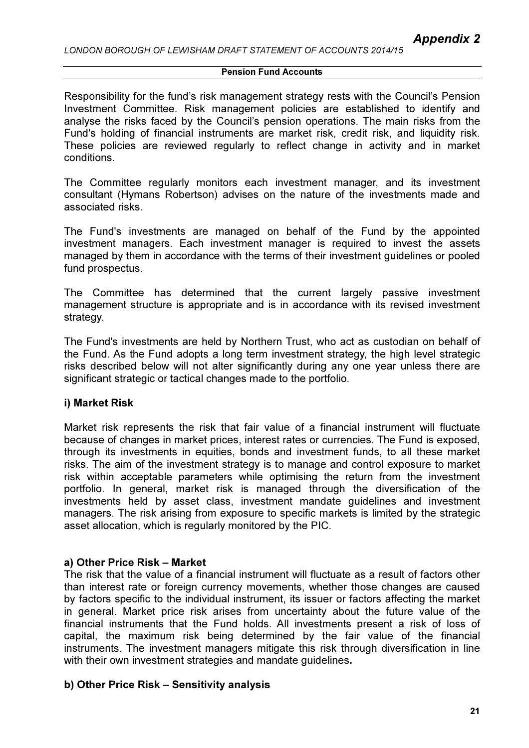Responsibility for the fund's risk management strategy rests with the Council's Pension Investment Committee. Risk management policies are established to identify and analyse the risks faced by the Council's pension operations. The main risks from the Fund's holding of financial instruments are market risk, credit risk, and liquidity risk. These policies are reviewed regularly to reflect change in activity and in market conditions.

The Committee regularly monitors each investment manager, and its investment consultant (Hymans Robertson) advises on the nature of the investments made and associated risks.

The Fund's investments are managed on behalf of the Fund by the appointed investment managers. Each investment manager is required to invest the assets managed by them in accordance with the terms of their investment guidelines or pooled fund prospectus.

The Committee has determined that the current largely passive investment management structure is appropriate and is in accordance with its revised investment strategy.

The Fund's investments are held by Northern Trust, who act as custodian on behalf of the Fund. As the Fund adopts a long term investment strategy, the high level strategic risks described below will not alter significantly during any one year unless there are significant strategic or tactical changes made to the portfolio.

#### i) Market Risk

Market risk represents the risk that fair value of a financial instrument will fluctuate because of changes in market prices, interest rates or currencies. The Fund is exposed, through its investments in equities, bonds and investment funds, to all these market risks. The aim of the investment strategy is to manage and control exposure to market risk within acceptable parameters while optimising the return from the investment portfolio. In general, market risk is managed through the diversification of the investments held by asset class, investment mandate guidelines and investment managers. The risk arising from exposure to specific markets is limited by the strategic asset allocation, which is regularly monitored by the PIC.

#### a) Other Price Risk – Market

The risk that the value of a financial instrument will fluctuate as a result of factors other than interest rate or foreign currency movements, whether those changes are caused by factors specific to the individual instrument, its issuer or factors affecting the market in general. Market price risk arises from uncertainty about the future value of the financial instruments that the Fund holds. All investments present a risk of loss of capital, the maximum risk being determined by the fair value of the financial instruments. The investment managers mitigate this risk through diversification in line with their own investment strategies and mandate quidelines.

#### b) Other Price Risk – Sensitivity analysis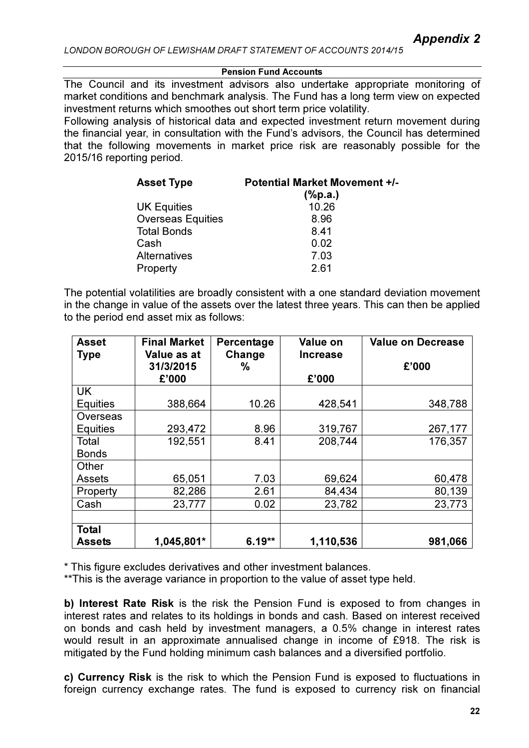The Council and its investment advisors also undertake appropriate monitoring of market conditions and benchmark analysis. The Fund has a long term view on expected investment returns which smoothes out short term price volatility.

Following analysis of historical data and expected investment return movement during the financial year, in consultation with the Fund's advisors, the Council has determined that the following movements in market price risk are reasonably possible for the 2015/16 reporting period.

| <b>Asset Type</b>        | <b>Potential Market Movement +/-</b> |
|--------------------------|--------------------------------------|
|                          | $(\%p.a.)$                           |
| <b>UK Equities</b>       | 10.26                                |
| <b>Overseas Equities</b> | 8.96                                 |
| <b>Total Bonds</b>       | 8.41                                 |
| Cash                     | 0.02                                 |
| <b>Alternatives</b>      | 7.03                                 |
| Property                 | 2.61                                 |

The potential volatilities are broadly consistent with a one standard deviation movement in the change in value of the assets over the latest three years. This can then be applied to the period end asset mix as follows:

| <b>Asset</b>    | <b>Final Market</b>               | Percentage  | <b>Value on</b>          | <b>Value on Decrease</b> |
|-----------------|-----------------------------------|-------------|--------------------------|--------------------------|
| <b>Type</b>     | Value as at<br>31/3/2015<br>£'000 | Change<br>℅ | <b>Increase</b><br>£'000 | £'000                    |
| <b>UK</b>       |                                   |             |                          |                          |
| <b>Equities</b> | 388,664                           | 10.26       | 428,541                  | 348,788                  |
| Overseas        |                                   |             |                          |                          |
| <b>Equities</b> | 293,472                           | 8.96        | 319,767                  | 267,177                  |
| Total           | 192,551                           | 8.41        | 208,744                  | 176,357                  |
| <b>Bonds</b>    |                                   |             |                          |                          |
| Other           |                                   |             |                          |                          |
| <b>Assets</b>   | 65,051                            | 7.03        | 69,624                   | 60,478                   |
| Property        | 82,286                            | 2.61        | 84,434                   | 80,139                   |
| Cash            | 23,777                            | 0.02        | 23,782                   | 23,773                   |
|                 |                                   |             |                          |                          |
| <b>Total</b>    |                                   |             |                          |                          |
| <b>Assets</b>   | 1,045,801*                        | $6.19**$    | 1,110,536                | 981,066                  |

\* This figure excludes derivatives and other investment balances.

\*\*This is the average variance in proportion to the value of asset type held.

b) Interest Rate Risk is the risk the Pension Fund is exposed to from changes in interest rates and relates to its holdings in bonds and cash. Based on interest received on bonds and cash held by investment managers, a 0.5% change in interest rates would result in an approximate annualised change in income of £918. The risk is mitigated by the Fund holding minimum cash balances and a diversified portfolio.

c) Currency Risk is the risk to which the Pension Fund is exposed to fluctuations in foreign currency exchange rates. The fund is exposed to currency risk on financial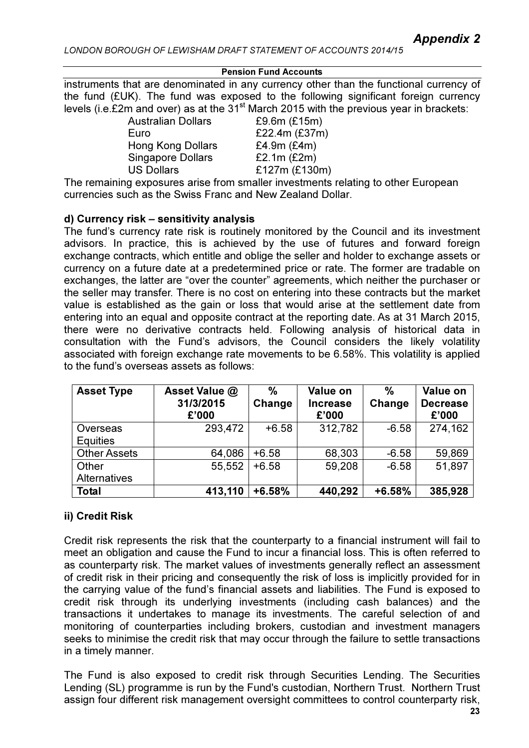#### Pension Fund Accounts

instruments that are denominated in any currency other than the functional currency of the fund (£UK). The fund was exposed to the following significant foreign currency levels (i.e. $£2m$  and over) as at the  $31<sup>st</sup>$  March 2015 with the previous year in brackets:

> Australian Dollars £9.6m (£15m) Euro £22.4m (£37m) Hong Kong Dollars £4.9m (£4m) Singapore Dollars E2.1m (£2m) US Dollars £127m (£130m)

The remaining exposures arise from smaller investments relating to other European currencies such as the Swiss Franc and New Zealand Dollar.

## d) Currency risk – sensitivity analysis

The fund's currency rate risk is routinely monitored by the Council and its investment advisors. In practice, this is achieved by the use of futures and forward foreign exchange contracts, which entitle and oblige the seller and holder to exchange assets or currency on a future date at a predetermined price or rate. The former are tradable on exchanges, the latter are "over the counter" agreements, which neither the purchaser or the seller may transfer. There is no cost on entering into these contracts but the market value is established as the gain or loss that would arise at the settlement date from entering into an equal and opposite contract at the reporting date. As at 31 March 2015, there were no derivative contracts held. Following analysis of historical data in consultation with the Fund's advisors, the Council considers the likely volatility associated with foreign exchange rate movements to be 6.58%. This volatility is applied to the fund's overseas assets as follows:

| <b>Asset Type</b>   | Asset Value @<br>31/3/2015<br>£'000 | $\frac{0}{0}$<br>Change | Value on<br><b>Increase</b><br>£'000 | $\%$<br>Change | Value on<br><b>Decrease</b><br>£'000 |
|---------------------|-------------------------------------|-------------------------|--------------------------------------|----------------|--------------------------------------|
| Overseas            | 293,472                             | $+6.58$                 | 312,782                              | $-6.58$        | 274,162                              |
| <b>Equities</b>     |                                     |                         |                                      |                |                                      |
| <b>Other Assets</b> | 64,086                              | $+6.58$                 | 68,303                               | $-6.58$        | 59,869                               |
| Other               | 55,552                              | $+6.58$                 | 59,208                               | $-6.58$        | 51,897                               |
| <b>Alternatives</b> |                                     |                         |                                      |                |                                      |
| <b>Total</b>        | 413,110                             | $+6.58%$                | 440,292                              | $+6.58%$       | 385,928                              |

# ii) Credit Risk

Credit risk represents the risk that the counterparty to a financial instrument will fail to meet an obligation and cause the Fund to incur a financial loss. This is often referred to as counterparty risk. The market values of investments generally reflect an assessment of credit risk in their pricing and consequently the risk of loss is implicitly provided for in the carrying value of the fund's financial assets and liabilities. The Fund is exposed to credit risk through its underlying investments (including cash balances) and the transactions it undertakes to manage its investments. The careful selection of and monitoring of counterparties including brokers, custodian and investment managers seeks to minimise the credit risk that may occur through the failure to settle transactions in a timely manner.

The Fund is also exposed to credit risk through Securities Lending. The Securities Lending (SL) programme is run by the Fund's custodian, Northern Trust. Northern Trust assign four different risk management oversight committees to control counterparty risk,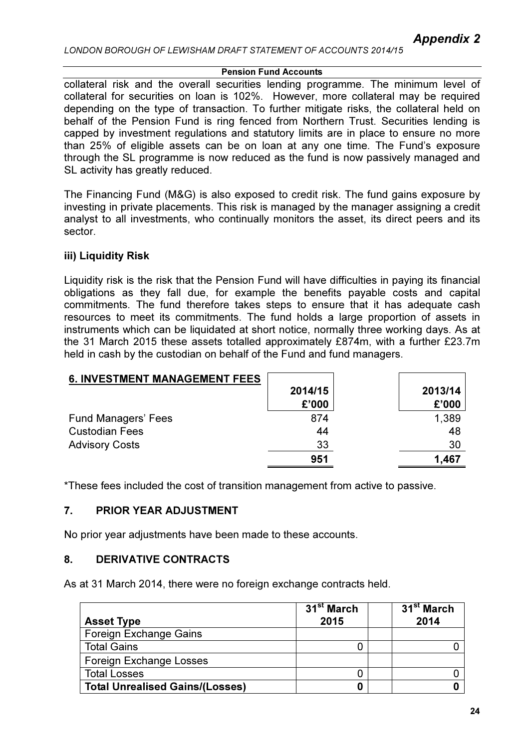collateral risk and the overall securities lending programme. The minimum level of collateral for securities on loan is 102%. However, more collateral may be required depending on the type of transaction. To further mitigate risks, the collateral held on behalf of the Pension Fund is ring fenced from Northern Trust. Securities lending is capped by investment regulations and statutory limits are in place to ensure no more than 25% of eligible assets can be on loan at any one time. The Fund's exposure through the SL programme is now reduced as the fund is now passively managed and SL activity has greatly reduced.

The Financing Fund (M&G) is also exposed to credit risk. The fund gains exposure by investing in private placements. This risk is managed by the manager assigning a credit analyst to all investments, who continually monitors the asset, its direct peers and its sector.

## iii) Liquidity Risk

Liquidity risk is the risk that the Pension Fund will have difficulties in paying its financial obligations as they fall due, for example the benefits payable costs and capital commitments. The fund therefore takes steps to ensure that it has adequate cash resources to meet its commitments. The fund holds a large proportion of assets in instruments which can be liquidated at short notice, normally three working days. As at the 31 March 2015 these assets totalled approximately £874m, with a further £23.7m held in cash by the custodian on behalf of the Fund and fund managers.

| <b>6. INVESTMENT MANAGEMENT FEES</b> |         |         |
|--------------------------------------|---------|---------|
|                                      | 2014/15 | 2013/14 |
|                                      | £'000   | £'000   |
| <b>Fund Managers' Fees</b>           | 874     | 1,389   |
| <b>Custodian Fees</b>                | 44      | 48      |
| <b>Advisory Costs</b>                | 33      | 30      |
|                                      | 951     | 1,467   |

\*These fees included the cost of transition management from active to passive.

## 7. PRIOR YEAR ADJUSTMENT

No prior year adjustments have been made to these accounts.

## 8. DERIVATIVE CONTRACTS

As at 31 March 2014, there were no foreign exchange contracts held.

| <b>Asset Type</b>                      | 31 <sup>st</sup> March<br>2015 | 31 <sup>st</sup> March<br>2014 |
|----------------------------------------|--------------------------------|--------------------------------|
| <b>Foreign Exchange Gains</b>          |                                |                                |
| <b>Total Gains</b>                     |                                |                                |
| <b>Foreign Exchange Losses</b>         |                                |                                |
| <b>Total Losses</b>                    |                                |                                |
| <b>Total Unrealised Gains/(Losses)</b> |                                |                                |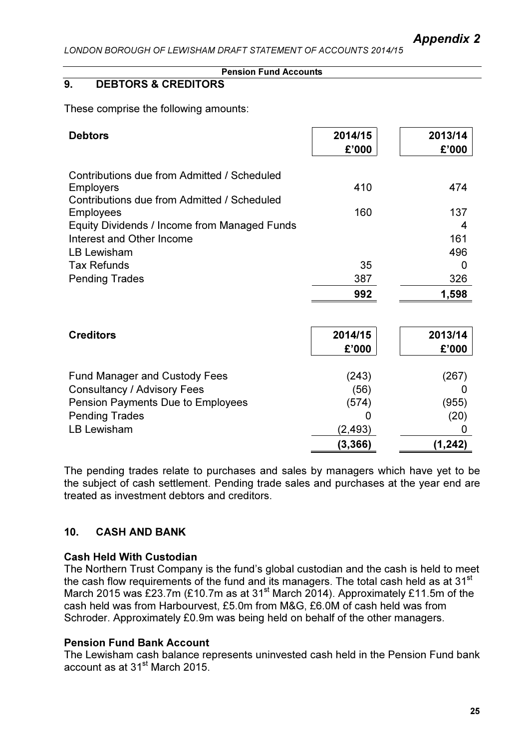#### Pension Fund Accounts

# 9. DEBTORS & CREDITORS

These comprise the following amounts:

| <b>Debtors</b>                                                                                                 | 2014/15<br>£'000 | 2013/14<br>£'000 |
|----------------------------------------------------------------------------------------------------------------|------------------|------------------|
| Contributions due from Admitted / Scheduled<br><b>Employers</b><br>Contributions due from Admitted / Scheduled | 410              | 474              |
| <b>Employees</b>                                                                                               | 160              | 137              |
| Equity Dividends / Income from Managed Funds                                                                   |                  | 4                |
| Interest and Other Income                                                                                      |                  | 161              |
| <b>LB Lewisham</b>                                                                                             |                  | 496              |
| <b>Tax Refunds</b>                                                                                             | 35               | 0                |
| <b>Pending Trades</b>                                                                                          | 387              | 326              |
|                                                                                                                | 992              | 1,598            |
|                                                                                                                |                  |                  |
| <b>Creditors</b>                                                                                               | 2014/15          | 2013/14          |
|                                                                                                                | £'000            | £'000            |
| <b>Fund Manager and Custody Fees</b>                                                                           | (243)            | (267)            |
| <b>Consultancy / Advisory Fees</b>                                                                             | (56)             | O                |
| Pension Payments Due to Employees                                                                              | (574)            | (955)            |
| <b>Pending Trades</b>                                                                                          | 0                | (20)             |
| <b>LB Lewisham</b>                                                                                             | (2, 493)         | 0                |
|                                                                                                                | (3, 366)         | (1,242)          |

The pending trades relate to purchases and sales by managers which have yet to be the subject of cash settlement. Pending trade sales and purchases at the year end are treated as investment debtors and creditors.

## 10. CASH AND BANK

#### Cash Held With Custodian

The Northern Trust Company is the fund's global custodian and the cash is held to meet the cash flow requirements of the fund and its managers. The total cash held as at 31<sup>st</sup> March 2015 was £23.7m (£10.7m as at 31<sup>st</sup> March 2014). Approximately £11.5m of the cash held was from Harbourvest, £5.0m from M&G, £6.0M of cash held was from Schroder. Approximately £0.9m was being held on behalf of the other managers.

#### Pension Fund Bank Account

The Lewisham cash balance represents uninvested cash held in the Pension Fund bank account as at 31st March 2015.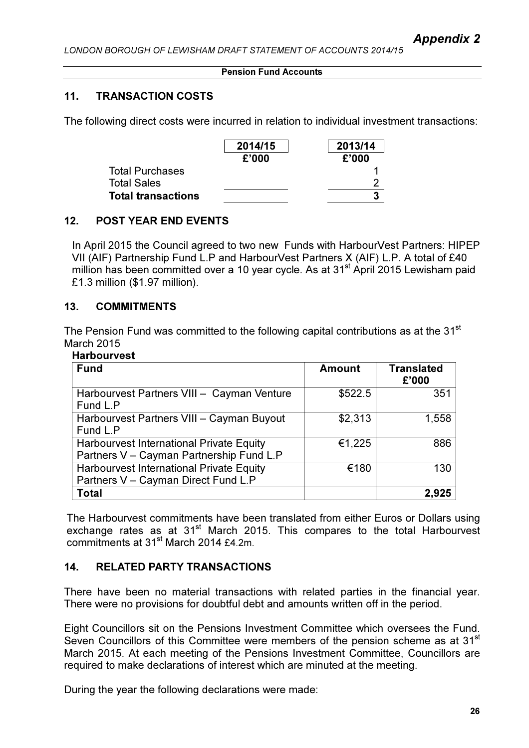#### Pension Fund Accounts

## 11. TRANSACTION COSTS

The following direct costs were incurred in relation to individual investment transactions:

|                    | 2014/15 | 2013/14 |
|--------------------|---------|---------|
|                    | £'000   | £'000   |
| Total Purchases    |         |         |
| <b>Total Sales</b> |         |         |
| Total transactions |         |         |

## 12. POST YEAR END EVENTS

In April 2015 the Council agreed to two new Funds with HarbourVest Partners: HIPEP VII (AIF) Partnership Fund L.P and HarbourVest Partners X (AIF) L.P. A total of £40 million has been committed over a 10 year cycle. As at 31<sup>st</sup> April 2015 Lewisham paid £1.3 million (\$1.97 million).

## 13. COMMITMENTS

The Pension Fund was committed to the following capital contributions as at the 31<sup>st</sup> March 2015

| <b>Harbourvest</b>                                                                   |               |                            |
|--------------------------------------------------------------------------------------|---------------|----------------------------|
| <b>Fund</b>                                                                          | <b>Amount</b> | <b>Translated</b><br>£'000 |
| Harbourvest Partners VIII - Cayman Venture<br>Fund L.P                               | \$522.5       | 351                        |
| Harbourvest Partners VIII - Cayman Buyout<br>Fund L.P                                | \$2,313       | 1,558                      |
| Harbourvest International Private Equity<br>Partners V - Cayman Partnership Fund L.P | €1,225        | 886                        |
| Harbourvest International Private Equity<br>Partners V - Cayman Direct Fund L.P      | €180          | 130                        |
| <b>Total</b>                                                                         |               |                            |

The Harbourvest commitments have been translated from either Euros or Dollars using exchange rates as at 31<sup>st</sup> March 2015. This compares to the total Harbourvest commitments at 31<sup>st</sup> March 2014 £4.2m.

## 14. RELATED PARTY TRANSACTIONS

There have been no material transactions with related parties in the financial year. There were no provisions for doubtful debt and amounts written off in the period.

Eight Councillors sit on the Pensions Investment Committee which oversees the Fund. Seven Councillors of this Committee were members of the pension scheme as at 31<sup>st</sup> March 2015. At each meeting of the Pensions Investment Committee, Councillors are required to make declarations of interest which are minuted at the meeting.

During the year the following declarations were made: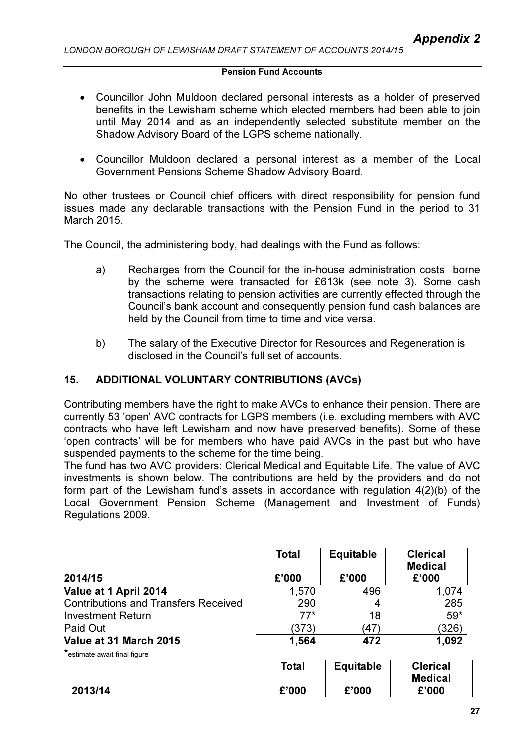- Councillor John Muldoon declared personal interests as a holder of preserved benefits in the Lewisham scheme which elected members had been able to join until May 2014 and as an independently selected substitute member on the Shadow Advisory Board of the LGPS scheme nationally.
- Councillor Muldoon declared a personal interest as a member of the Local Government Pensions Scheme Shadow Advisory Board.

No other trustees or Council chief officers with direct responsibility for pension fund issues made any declarable transactions with the Pension Fund in the period to 31 March 2015.

The Council, the administering body, had dealings with the Fund as follows:

- a) Recharges from the Council for the in-house administration costs borne by the scheme were transacted for £613k (see note 3). Some cash transactions relating to pension activities are currently effected through the Council's bank account and consequently pension fund cash balances are held by the Council from time to time and vice versa.
- b) The salary of the Executive Director for Resources and Regeneration is disclosed in the Council's full set of accounts.

### 15. ADDITIONAL VOLUNTARY CONTRIBUTIONS (AVCs)

Contributing members have the right to make AVCs to enhance their pension. There are currently 53 'open' AVC contracts for LGPS members (i.e. excluding members with AVC contracts who have left Lewisham and now have preserved benefits). Some of these 'open contracts' will be for members who have paid AVCs in the past but who have suspended payments to the scheme for the time being.

The fund has two AVC providers: Clerical Medical and Equitable Life. The value of AVC investments is shown below. The contributions are held by the providers and do not form part of the Lewisham fund's assets in accordance with regulation 4(2)(b) of the Local Government Pension Scheme (Management and Investment of Funds) Regulations 2009.

|                                             | <b>Total</b> | Equitable | <b>Clerical</b><br><b>Medical</b> |
|---------------------------------------------|--------------|-----------|-----------------------------------|
| 2014/15                                     | £'000        | £'000     | £'000                             |
| Value at 1 April 2014                       | 1,570        | 496       | 1,074                             |
| <b>Contributions and Transfers Received</b> | 290          | 4         | 285                               |
| <b>Investment Return</b>                    | $77*$        | 18        | $59*$                             |
| Paid Out                                    | (373)        | (47)      | (326)                             |
| Value at 31 March 2015                      | 1,564        | 472       | 1,092                             |
| *estimate await final figure                |              |           |                                   |
|                                             | Total        | Equitable | <b>Clerical</b>                   |
| 2013/14                                     | £'000        | £'000     | <b>Medical</b><br>£'000           |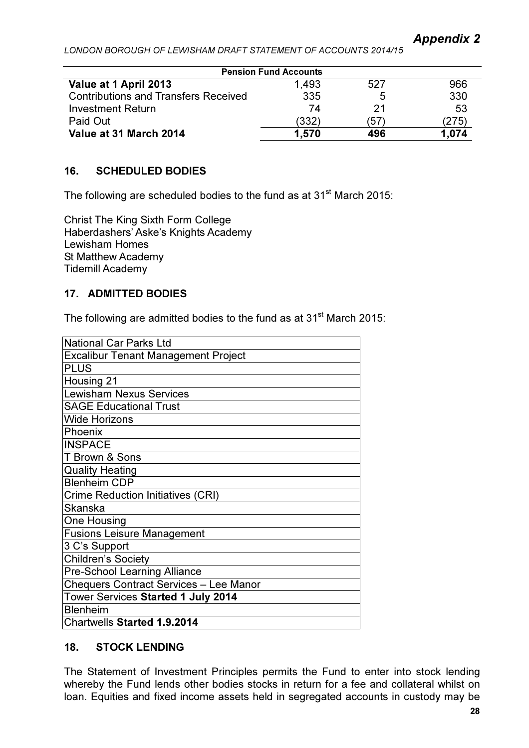| <b>Pension Fund Accounts</b>                |       |      |       |
|---------------------------------------------|-------|------|-------|
| Value at 1 April 2013                       | 1,493 | 527  | 966   |
| <b>Contributions and Transfers Received</b> | 335   | 5    | 330   |
| <b>Investment Return</b>                    | 74    | 21   | 53    |
| Paid Out                                    | (332) | (57) | 275   |
| Value at 31 March 2014                      | 1.570 | 496  | 1.074 |

## 16. SCHEDULED BODIES

The following are scheduled bodies to the fund as at 31<sup>st</sup> March 2015:

Christ The King Sixth Form College Haberdashers' Aske's Knights Academy Lewisham Homes St Matthew Academy Tidemill Academy

## 17. ADMITTED BODIES

The following are admitted bodies to the fund as at  $31<sup>st</sup>$  March 2015:

| <b>National Car Parks Ltd</b>                 |
|-----------------------------------------------|
| Excalibur Tenant Management Project           |
| <b>PLUS</b>                                   |
| Housing 21                                    |
| <b>Lewisham Nexus Services</b>                |
| <b>SAGE Educational Trust</b>                 |
| <b>Wide Horizons</b>                          |
| Phoenix                                       |
| <b>INSPACE</b>                                |
| T Brown & Sons                                |
| <b>Quality Heating</b>                        |
| <b>Blenheim CDP</b>                           |
| <b>Crime Reduction Initiatives (CRI)</b>      |
| Skanska                                       |
| <b>One Housing</b>                            |
| <b>Fusions Leisure Management</b>             |
| 3 C's Support                                 |
| <b>Children's Society</b>                     |
| <b>Pre-School Learning Alliance</b>           |
| <b>Chequers Contract Services - Lee Manor</b> |
| Tower Services Started 1 July 2014            |
| <b>Blenheim</b>                               |
| <b>Chartwells Started 1.9.2014</b>            |

# 18. STOCK LENDING

The Statement of Investment Principles permits the Fund to enter into stock lending whereby the Fund lends other bodies stocks in return for a fee and collateral whilst on loan. Equities and fixed income assets held in segregated accounts in custody may be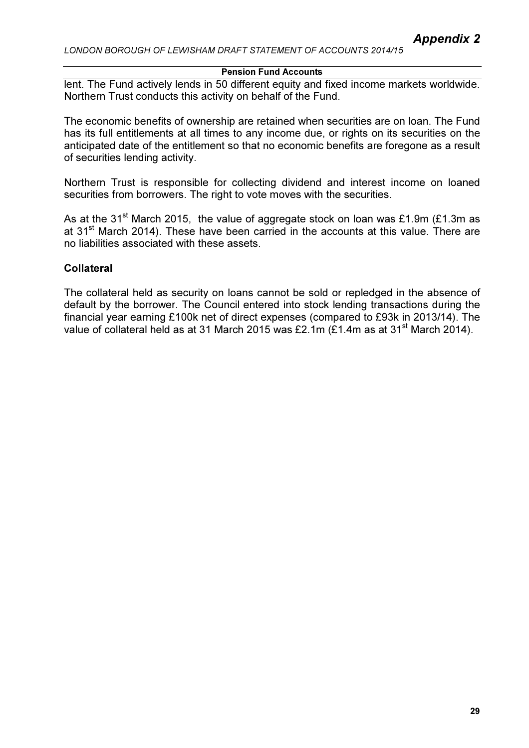#### Pension Fund Accounts

lent. The Fund actively lends in 50 different equity and fixed income markets worldwide. Northern Trust conducts this activity on behalf of the Fund.

The economic benefits of ownership are retained when securities are on loan. The Fund has its full entitlements at all times to any income due, or rights on its securities on the anticipated date of the entitlement so that no economic benefits are foregone as a result of securities lending activity.

Northern Trust is responsible for collecting dividend and interest income on loaned securities from borrowers. The right to vote moves with the securities.

As at the 31<sup>st</sup> March 2015, the value of aggregate stock on loan was £1.9m (£1.3m as at 31<sup>st</sup> March 2014). These have been carried in the accounts at this value. There are no liabilities associated with these assets.

## **Collateral**

The collateral held as security on loans cannot be sold or repledged in the absence of default by the borrower. The Council entered into stock lending transactions during the financial year earning £100k net of direct expenses (compared to £93k in 2013/14). The value of collateral held as at 31 March 2015 was £2.1m (£1.4m as at 31<sup>st</sup> March 2014).